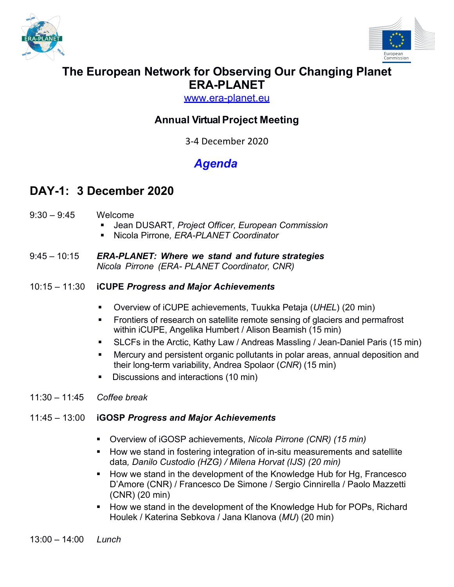



## **The European Network for Observing Our Changing Planet ERA-PLANET**

www.era-planet.eu

## **Annual Virtual Project Meeting**

3-4 December 2020

# *Agenda*

## **DAY-1: 3 December 2020**

- 9:30 9:45 Welcome
	- § Jean DUSART*, Project Officer, European Commission*
	- § Nicola Pirrone*, ERA-PLANET Coordinator*
- 9:45 10:15 *ERA-PLANET: Where we stand and future strategies Nicola Pirrone (ERA- PLANET Coordinator, CNR)*

#### 10:15 – 11:30 **iCUPE** *Progress and Major Achievements*

- § Overview of iCUPE achievements, Tuukka Petaja (*UHEL*) (20 min)
- Frontiers of research on satellite remote sensing of glaciers and permafrost within iCUPE, Angelika Humbert / Alison Beamish (15 min)
- SLCFs in the Arctic, Kathy Law / Andreas Massling / Jean-Daniel Paris (15 min)
- Mercury and persistent organic pollutants in polar areas, annual deposition and their long-term variability, Andrea Spolaor (*CNR*) (15 min)
- Discussions and interactions (10 min)
- 11:30 11:45 *Coffee break*

### 11:45 – 13:00 **iGOSP** *Progress and Major Achievements*

- § Overview of iGOSP achievements, *Nicola Pirrone (CNR) (15 min)*
- How we stand in fostering integration of in-situ measurements and satellite data*, Danilo Custodio (HZG) / Milena Horvat (IJS) (20 min)*
- How we stand in the development of the Knowledge Hub for Hg, Francesco D'Amore (CNR) / Francesco De Simone / Sergio Cinnirella / Paolo Mazzetti (CNR) (20 min)
- How we stand in the development of the Knowledge Hub for POPs, Richard Houlek / Katerina Sebkova / Jana Klanova (*MU*) (20 min)

13:00 – 14:00 *Lunch*